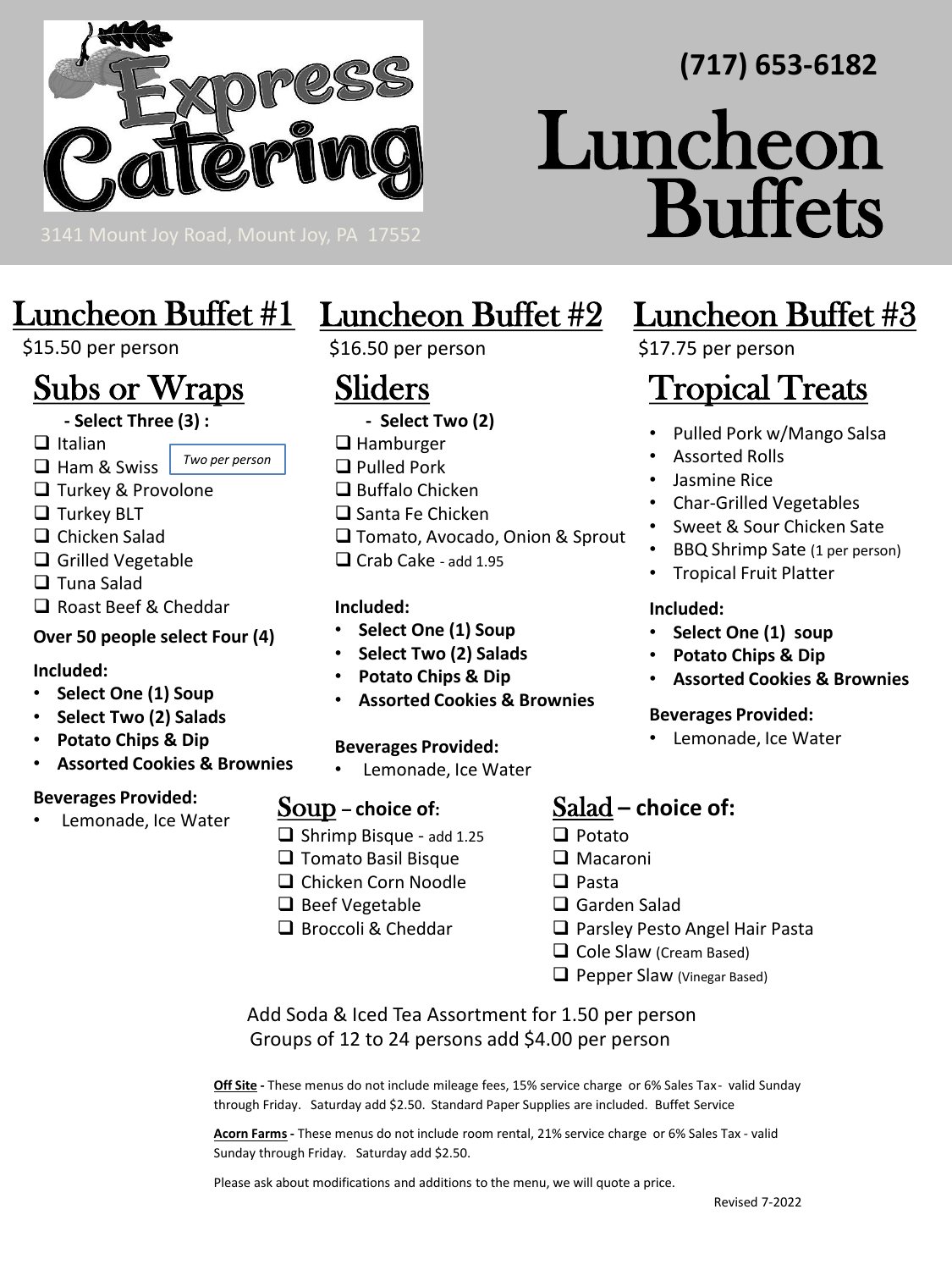

# Luncheon Buffet #1

# \$15.50 per person

# Subs or Wraps

**- Select Three (3) :**

❑ Italian

- ❑ Ham & Swiss *Two per person*
- ❑ Turkey & Provolone
- ❑ Turkey BLT
- ❑ Chicken Salad
- ❑ Grilled Vegetable
- ❑ Tuna Salad
- ❑ Roast Beef & Cheddar

## **Over 50 people select Four (4)**

#### **Included:**

- **Select One (1) Soup**
- **Select Two (2) Salads**
- **Potato Chips & Dip**
- **Assorted Cookies & Brownies**

### **Beverages Provided:**

Lemonade, Ice Water

# Luncheon Buffet #2

\$16.50 per person

# Sliders

- 
- 
- 
- ❑ Tomato, Avocado, Onion & Sprout
- ❑ Crab Cake add 1.95

### **Included:**

- **Select One (1) Soup**
- **Select Two (2) Salads**
- **Potato Chips & Dip**
- **Assorted Cookies & Brownies**

### **Beverages Provided:**

• Lemonade, Ice Water

# Soup **– choice of:**

- ❑ Shrimp Bisque add 1.25
- ❑ Tomato Basil Bisque
- ❑ Chicken Corn Noodle
- ❑ Beef Vegetable
- ❑ Broccoli & Cheddar

# Luncheon Buffet #3

**Buffets** 

**(717) 653-6182**

\$17.75 per person

Luncheon

# **Tropical Treats**

- Pulled Pork w/Mango Salsa
- Assorted Rolls
- Jasmine Rice
- Char-Grilled Vegetables
- Sweet & Sour Chicken Sate
- BBQ Shrimp Sate (1 per person)
- Tropical Fruit Platter

#### **Included:**

- **Select One (1) soup**
- **Potato Chips & Dip**
- **Assorted Cookies & Brownies**

#### **Beverages Provided:**

• Lemonade, Ice Water

# Salad **– choice of:**

- ❑ Potato
- ❑ Macaroni
- ❑ Pasta
- ❑ Garden Salad
- ❑ Parsley Pesto Angel Hair Pasta
- ❑ Cole Slaw (Cream Based)
- ❑ Pepper Slaw (Vinegar Based)

Add Soda & Iced Tea Assortment for 1.50 per person Groups of 12 to 24 persons add \$4.00 per person

**Off Site -** These menus do not include mileage fees, 15% service charge or 6% Sales Tax - valid Sunday through Friday. Saturday add \$2.50. Standard Paper Supplies are included. Buffet Service

**Acorn Farms -** These menus do not include room rental, 21% service charge or 6% Sales Tax - valid Sunday through Friday. Saturday add \$2.50.

Please ask about modifications and additions to the menu, we will quote a price.

- 
- **- Select Two (2)**
- ❑ Hamburger
- ❑ Pulled Pork
- ❑ Buffalo Chicken

#### ❑ Santa Fe Chicken

- 
- 
-